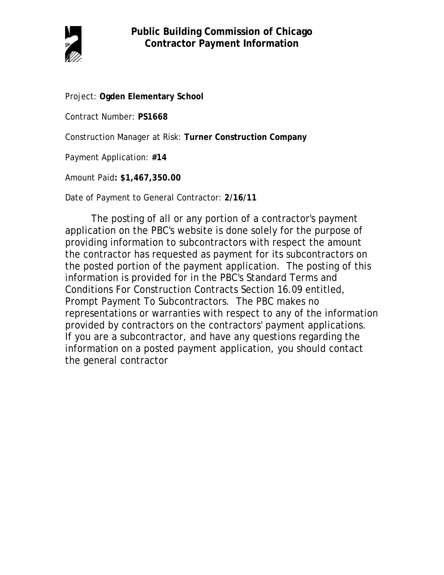

Project: **Ogden Elementary School**

Contract Number: **PS1668**

Construction Manager at Risk: **Turner Construction Company**

Payment Application: **#14**

Amount Paid**: \$1,467,350.00**

Date of Payment to General Contractor: **2/16/11**

The posting of all or any portion of a contractor's payment application on the PBC's website is done solely for the purpose of providing information to subcontractors with respect the amount the contractor has requested as payment for its subcontractors on the posted portion of the payment application. The posting of this information is provided for in the PBC's Standard Terms and Conditions For Construction Contracts Section 16.09 entitled, Prompt Payment To Subcontractors. The PBC makes no representations or warranties with respect to any of the information provided by contractors on the contractors' payment applications. If you are a subcontractor, and have any questions regarding the information on a posted payment application, you should contact the general contractor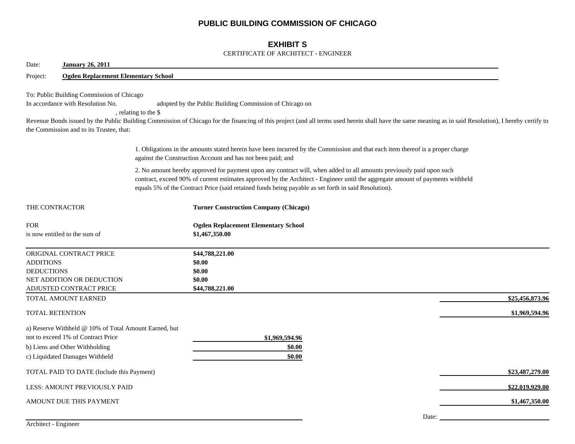# **PUBLIC BUILDING COMMISSION OF CHICAGO**

# **EXHIBIT S**

#### CERTIFICATE OF ARCHITECT - ENGINEER

| Date:                                 | <b>January 26, 2011</b>                                                                                                                                                                                                                                                                                                                                                                                                 |  |                                                                                                                                                                                                                                                                                                                                                                |                 |  |  |  |  |  |
|---------------------------------------|-------------------------------------------------------------------------------------------------------------------------------------------------------------------------------------------------------------------------------------------------------------------------------------------------------------------------------------------------------------------------------------------------------------------------|--|----------------------------------------------------------------------------------------------------------------------------------------------------------------------------------------------------------------------------------------------------------------------------------------------------------------------------------------------------------------|-----------------|--|--|--|--|--|
| Project:                              | <b>Ogden Replacement Elementary School</b>                                                                                                                                                                                                                                                                                                                                                                              |  |                                                                                                                                                                                                                                                                                                                                                                |                 |  |  |  |  |  |
|                                       | To: Public Building Commission of Chicago<br>In accordance with Resolution No.<br>adopted by the Public Building Commission of Chicago on<br>, relating to the \$<br>Revenue Bonds issued by the Public Building Commission of Chicago for the financing of this project (and all terms used herein shall have the same meaning as in said Resolution), I hereby certify to<br>the Commission and to its Trustee, that: |  |                                                                                                                                                                                                                                                                                                                                                                |                 |  |  |  |  |  |
|                                       |                                                                                                                                                                                                                                                                                                                                                                                                                         |  | 1. Obligations in the amounts stated herein have been incurred by the Commission and that each item thereof is a proper charge<br>against the Construction Account and has not been paid; and                                                                                                                                                                  |                 |  |  |  |  |  |
|                                       |                                                                                                                                                                                                                                                                                                                                                                                                                         |  | 2. No amount hereby approved for payment upon any contract will, when added to all amounts previously paid upon such<br>contract, exceed 90% of current estimates approved by the Architect - Engineer until the aggregate amount of payments withheld<br>equals 5% of the Contract Price (said retained funds being payable as set forth in said Resolution). |                 |  |  |  |  |  |
| THE CONTRACTOR                        |                                                                                                                                                                                                                                                                                                                                                                                                                         |  | <b>Turner Construction Company (Chicago)</b>                                                                                                                                                                                                                                                                                                                   |                 |  |  |  |  |  |
| <b>FOR</b>                            | is now entitled to the sum of                                                                                                                                                                                                                                                                                                                                                                                           |  | <b>Ogden Replacement Elementary School</b><br>\$1,467,350.00                                                                                                                                                                                                                                                                                                   |                 |  |  |  |  |  |
| <b>ADDITIONS</b><br><b>DEDUCTIONS</b> | ORIGINAL CONTRACT PRICE<br>NET ADDITION OR DEDUCTION<br>ADJUSTED CONTRACT PRICE                                                                                                                                                                                                                                                                                                                                         |  | \$44,788,221.00<br>\$0.00<br>\$0.00<br>\$0.00<br>\$44,788,221.00                                                                                                                                                                                                                                                                                               |                 |  |  |  |  |  |
|                                       | TOTAL AMOUNT EARNED                                                                                                                                                                                                                                                                                                                                                                                                     |  |                                                                                                                                                                                                                                                                                                                                                                | \$25,456,873.96 |  |  |  |  |  |
| <b>TOTAL RETENTION</b>                |                                                                                                                                                                                                                                                                                                                                                                                                                         |  |                                                                                                                                                                                                                                                                                                                                                                | \$1,969,594.96  |  |  |  |  |  |
|                                       | a) Reserve Withheld @ 10% of Total Amount Earned, but<br>not to exceed 1% of Contract Price<br>b) Liens and Other Withholding<br>c) Liquidated Damages Withheld                                                                                                                                                                                                                                                         |  | \$1,969,594.96<br>\$0.00<br>\$0.00                                                                                                                                                                                                                                                                                                                             |                 |  |  |  |  |  |
|                                       | TOTAL PAID TO DATE (Include this Payment)                                                                                                                                                                                                                                                                                                                                                                               |  |                                                                                                                                                                                                                                                                                                                                                                | \$23,487,279.00 |  |  |  |  |  |
|                                       | LESS: AMOUNT PREVIOUSLY PAID                                                                                                                                                                                                                                                                                                                                                                                            |  |                                                                                                                                                                                                                                                                                                                                                                | \$22,019,929.00 |  |  |  |  |  |
|                                       | AMOUNT DUE THIS PAYMENT                                                                                                                                                                                                                                                                                                                                                                                                 |  |                                                                                                                                                                                                                                                                                                                                                                | \$1,467,350.00  |  |  |  |  |  |
|                                       |                                                                                                                                                                                                                                                                                                                                                                                                                         |  | Date:                                                                                                                                                                                                                                                                                                                                                          |                 |  |  |  |  |  |

Architect - Engineer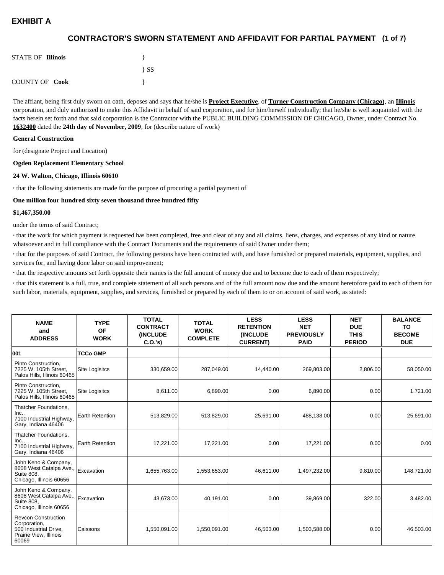## **(1 of 7) CONTRACTOR'S SWORN STATEMENT AND AFFIDAVIT FOR PARTIAL PAYMENT**

| <b>STATE OF Illinois</b> |          |
|--------------------------|----------|
|                          | $\{SS\}$ |
| <b>COUNTY OF Cook</b>    |          |

The affiant, being first duly sworn on oath, deposes and says that he/she is **Project Executive**, of **Turner Construction Company (Chicago)**, an **Illinois** corporation, and duly authorized to make this Affidavit in behalf of said corporation, and for him/herself individually; that he/she is well acquainted with the facts herein set forth and that said corporation is the Contractor with the PUBLIC BUILDING COMMISSION OF CHICAGO, Owner, under Contract No. **1632400** dated the **24th day of November, 2009**, for (describe nature of work)

#### **General Construction**

for (designate Project and Location)

#### **Ogden Replacement Elementary School**

#### **24 W. Walton, Chicago, Illinois 60610**

**·** that the following statements are made for the purpose of procuring a partial payment of

#### **One million four hundred sixty seven thousand three hundred fifty**

#### **\$1,467,350.00**

under the terms of said Contract;

**·** that the work for which payment is requested has been completed, free and clear of any and all claims, liens, charges, and expenses of any kind or nature whatsoever and in full compliance with the Contract Documents and the requirements of said Owner under them;

**·** that for the purposes of said Contract, the following persons have been contracted with, and have furnished or prepared materials, equipment, supplies, and services for, and having done labor on said improvement;

**·** that the respective amounts set forth opposite their names is the full amount of money due and to become due to each of them respectively;

**·** that this statement is a full, true, and complete statement of all such persons and of the full amount now due and the amount heretofore paid to each of them for such labor, materials, equipment, supplies, and services, furnished or prepared by each of them to or on account of said work, as stated:

| <b>NAME</b><br>and<br><b>ADDRESS</b>                                                                   | <b>TYPE</b><br>OF<br><b>WORK</b> | <b>TOTAL</b><br><b>CONTRACT</b><br><b>(INCLUDE</b><br>C.O.'s | <b>TOTAL</b><br><b>WORK</b><br><b>COMPLETE</b> | <b>LESS</b><br><b>RETENTION</b><br><b>(INCLUDE</b><br><b>CURRENT)</b> | <b>LESS</b><br><b>NET</b><br><b>PREVIOUSLY</b><br><b>PAID</b> | <b>NET</b><br><b>DUE</b><br><b>THIS</b><br><b>PERIOD</b> | <b>BALANCE</b><br><b>TO</b><br><b>BECOME</b><br><b>DUE</b> |
|--------------------------------------------------------------------------------------------------------|----------------------------------|--------------------------------------------------------------|------------------------------------------------|-----------------------------------------------------------------------|---------------------------------------------------------------|----------------------------------------------------------|------------------------------------------------------------|
| 001                                                                                                    | <b>TCCo GMP</b>                  |                                                              |                                                |                                                                       |                                                               |                                                          |                                                            |
| Pinto Construction.<br>7225 W. 105th Street.<br>Palos Hills, Illinois 60465                            | <b>Site Logisitcs</b>            | 330,659.00                                                   | 287,049.00                                     | 14,440.00                                                             | 269,803.00                                                    | 2,806.00                                                 | 58,050.00                                                  |
| Pinto Construction,<br>7225 W. 105th Street.<br>Palos Hills, Illinois 60465                            | <b>Site Logisitcs</b>            | 8,611.00                                                     | 6,890.00                                       | 0.00                                                                  | 6,890.00                                                      | 0.00                                                     | 1,721.00                                                   |
| Thatcher Foundations.<br>Inc.,<br>7100 Industrial Highway,<br>Gary, Indiana 46406                      | <b>Earth Retention</b>           | 513,829.00                                                   | 513,829.00                                     | 25,691.00                                                             | 488,138.00                                                    | 0.00                                                     | 25,691.00                                                  |
| Thatcher Foundations,<br>Inc.,<br>7100 Industrial Highway,<br>Gary, Indiana 46406                      | Earth Retention                  | 17,221.00                                                    | 17,221.00                                      | 0.00                                                                  | 17,221.00                                                     | 0.00                                                     | 0.00                                                       |
| John Keno & Company,<br>8608 West Catalpa Ave.,<br>Suite 808,<br>Chicago, Illinois 60656               | Excavation                       | 1,655,763.00                                                 | 1,553,653.00                                   | 46,611.00                                                             | 1,497,232.00                                                  | 9,810.00                                                 | 148,721.00                                                 |
| John Keno & Company,<br>8608 West Catalpa Ave.,<br><b>Suite 808.</b><br>Chicago, Illinois 60656        | Excavation                       | 43,673.00                                                    | 40,191.00                                      | 0.00                                                                  | 39,869.00                                                     | 322.00                                                   | 3,482.00                                                   |
| <b>Revcon Construction</b><br>Corporation,<br>500 Industrial Drive,<br>Prairie View, Illinois<br>60069 | Caissons                         | 1,550,091.00                                                 | 1,550,091.00                                   | 46,503.00                                                             | 1,503,588.00                                                  | 0.00                                                     | 46,503.00                                                  |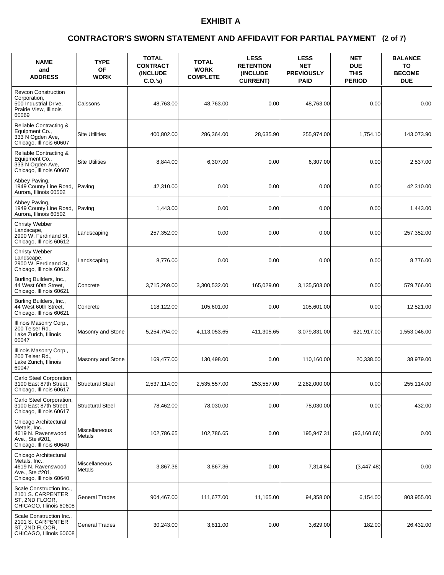### **(2 of 7) CONTRACTOR'S SWORN STATEMENT AND AFFIDAVIT FOR PARTIAL PAYMENT**

| <b>NAME</b><br>and<br><b>ADDRESS</b>                                                                       | <b>TYPE</b><br>OF<br><b>WORK</b> | <b>TOTAL</b><br><b>CONTRACT</b><br><b>(INCLUDE)</b><br>C.O.'s) | <b>TOTAL</b><br><b>WORK</b><br><b>COMPLETE</b> | <b>LESS</b><br><b>RETENTION</b><br><b>(INCLUDE)</b><br><b>CURRENT)</b> | <b>LESS</b><br><b>NET</b><br><b>PREVIOUSLY</b><br><b>PAID</b> | <b>NET</b><br><b>DUE</b><br><b>THIS</b><br><b>PERIOD</b> | <b>BALANCE</b><br>TO<br><b>BECOME</b><br><b>DUE</b> |
|------------------------------------------------------------------------------------------------------------|----------------------------------|----------------------------------------------------------------|------------------------------------------------|------------------------------------------------------------------------|---------------------------------------------------------------|----------------------------------------------------------|-----------------------------------------------------|
| <b>Revcon Construction</b><br>Corporation,<br>500 Industrial Drive,<br>Prairie View, Illinois<br>60069     | Caissons                         | 48,763.00                                                      | 48,763.00                                      | 0.00                                                                   | 48,763.00                                                     | 0.00                                                     | 0.00                                                |
| Reliable Contracting &<br>Equipment Co.,<br>333 N Ogden Ave,<br>Chicago, Illinois 60607                    | <b>Site Utilities</b>            | 400,802.00                                                     | 286,364.00                                     | 28,635.90                                                              | 255,974.00                                                    | 1,754.10                                                 | 143,073.90                                          |
| Reliable Contracting &<br>Equipment Co.,<br>333 N Ogden Ave,<br>Chicago, Illinois 60607                    | <b>Site Utilities</b>            | 8,844.00                                                       | 6,307.00                                       | 0.00                                                                   | 6,307.00                                                      | 0.00                                                     | 2,537.00                                            |
| Abbey Paving,<br>1949 County Line Road,<br>Aurora. Illinois 60502                                          | Paving                           | 42,310.00                                                      | 0.00                                           | 0.00                                                                   | 0.00                                                          | 0.00                                                     | 42,310.00                                           |
| Abbey Paving,<br>1949 County Line Road,<br>Aurora, Illinois 60502                                          | Paving                           | 1,443.00                                                       | 0.00                                           | 0.00                                                                   | 0.00                                                          | 0.00                                                     | 1,443.00                                            |
| Christy Webber<br>Landscape.<br>2900 W. Ferdinand St.<br>Chicago, Illinois 60612                           | Landscaping                      | 257,352.00                                                     | 0.00                                           | 0.00                                                                   | 0.00                                                          | 0.00                                                     | 257,352.00                                          |
| Christy Webber<br>Landscape,<br>2900 W. Ferdinand St,<br>Chicago, Illinois 60612                           | Landscaping                      | 8,776.00                                                       | 0.00                                           | 0.00                                                                   | 0.00                                                          | 0.00                                                     | 8,776.00                                            |
| Burling Builders, Inc.,<br>44 West 60th Street,<br>Chicago, Illinois 60621                                 | Concrete                         | 3,715,269.00                                                   | 3,300,532.00                                   | 165,029.00                                                             | 3,135,503.00                                                  | 0.00                                                     | 579,766.00                                          |
| Burling Builders, Inc.,<br>44 West 60th Street,<br>Chicago, Illinois 60621                                 | Concrete                         | 118,122.00                                                     | 105,601.00                                     | 0.00                                                                   | 105,601.00                                                    | 0.00                                                     | 12,521.00                                           |
| Illinois Masonry Corp.,<br>200 Telser Rd.,<br>Lake Zurich, Illinois<br>60047                               | Masonry and Stone                | 5,254,794.00                                                   | 4,113,053.65                                   | 411,305.65                                                             | 3,079,831.00                                                  | 621,917.00                                               | 1,553,046.00                                        |
| Illinois Masonry Corp.,<br>200 Telser Rd.,<br>Lake Zurich, Illinois<br>60047                               | Masonry and Stone                | 169,477.00                                                     | 130,498.00                                     | 0.00                                                                   | 110,160.00                                                    | 20.338.00                                                | 38,979.00                                           |
| Carlo Steel Corporation,<br>3100 East 87th Street,<br>Chicago, Illinois 60617                              | <b>Structural Steel</b>          | 2,537,114.00                                                   | 2,535,557.00                                   | 253,557.00                                                             | 2,282,000.00                                                  | 0.00                                                     | 255,114.00                                          |
| Carlo Steel Corporation,<br>3100 East 87th Street,<br>Chicago, Illinois 60617                              | <b>Structural Steel</b>          | 78,462.00                                                      | 78,030.00                                      | 0.00                                                                   | 78,030.00                                                     | 0.00                                                     | 432.00                                              |
| Chicago Architectural<br>Metals, Inc.,<br>4619 N. Ravenswood<br>Ave., Ste #201,<br>Chicago, Illinois 60640 | Miscellaneous<br>Metals          | 102,786.65                                                     | 102,786.65                                     | 0.00                                                                   | 195,947.31                                                    | (93, 160.66)                                             | 0.00                                                |
| Chicago Architectural<br>Metals, Inc.,<br>4619 N. Ravenswood<br>Ave., Ste #201,<br>Chicago, Illinois 60640 | Miscellaneous<br>Metals          | 3,867.36                                                       | 3,867.36                                       | 0.00                                                                   | 7,314.84                                                      | (3, 447.48)                                              | 0.00                                                |
| Scale Construction Inc.,<br>2101 S. CARPENTER<br>ST, 2ND FLOOR,<br>CHICAGO, Illinois 60608                 | <b>General Trades</b>            | 904,467.00                                                     | 111,677.00                                     | 11,165.00                                                              | 94,358.00                                                     | 6,154.00                                                 | 803,955.00                                          |
| Scale Construction Inc.,<br>2101 S. CARPENTER<br>ST, 2ND FLOOR,<br>CHICAGO, Illinois 60608                 | General Trades                   | 30,243.00                                                      | 3,811.00                                       | 0.00                                                                   | 3,629.00                                                      | 182.00                                                   | 26,432.00                                           |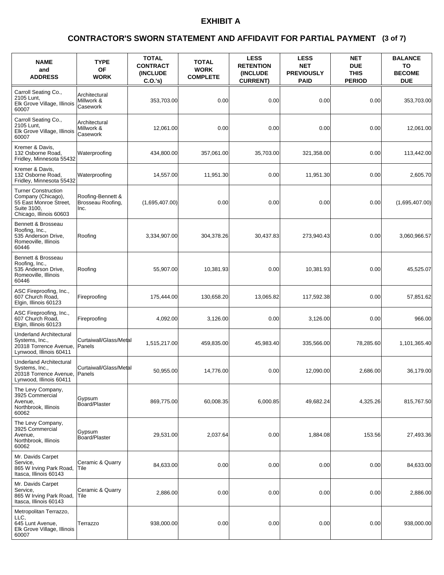### **(3 of 7) CONTRACTOR'S SWORN STATEMENT AND AFFIDAVIT FOR PARTIAL PAYMENT**

| <b>NAME</b><br>and<br><b>ADDRESS</b>                                                                                 | <b>TYPE</b><br>OF<br><b>WORK</b>               | <b>TOTAL</b><br><b>CONTRACT</b><br><b>(INCLUDE)</b><br>$C.O.'s$ ) | <b>TOTAL</b><br><b>WORK</b><br><b>COMPLETE</b> | <b>LESS</b><br><b>RETENTION</b><br>(INCLUDE<br><b>CURRENT)</b> | <b>LESS</b><br><b>NET</b><br><b>PREVIOUSLY</b><br><b>PAID</b> | <b>NET</b><br><b>DUE</b><br><b>THIS</b><br><b>PERIOD</b> | <b>BALANCE</b><br>TO<br><b>BECOME</b><br><b>DUE</b> |
|----------------------------------------------------------------------------------------------------------------------|------------------------------------------------|-------------------------------------------------------------------|------------------------------------------------|----------------------------------------------------------------|---------------------------------------------------------------|----------------------------------------------------------|-----------------------------------------------------|
| Carroll Seating Co.,<br>2105 Lunt,<br>Elk Grove Village, Illinois<br>60007                                           | Architectural<br>Millwork &<br>Casework        | 353,703.00                                                        | 0.00                                           | 0.00                                                           | 0.00                                                          | 0.00                                                     | 353,703.00                                          |
| Carroll Seating Co.,<br>2105 Lunt,<br>Elk Grove Village, Illinois<br>60007                                           | Architectural<br>Millwork &<br>Casework        | 12,061.00                                                         | 0.00                                           | 0.00                                                           | 0.00                                                          | 0.00                                                     | 12,061.00                                           |
| Kremer & Davis.<br>132 Osborne Road,<br>Fridley, Minnesota 55432                                                     | Waterproofing                                  | 434,800.00                                                        | 357,061.00                                     | 35,703.00                                                      | 321,358.00                                                    | 0.00                                                     | 113,442.00                                          |
| Kremer & Davis,<br>132 Osborne Road,<br>Fridley, Minnesota 55432                                                     | Waterproofing                                  | 14,557.00                                                         | 11,951.30                                      | 0.00                                                           | 11,951.30                                                     | 0.00                                                     | 2,605.70                                            |
| <b>Turner Construction</b><br>Company (Chicago),<br>55 East Monroe Street,<br>Suite 3100.<br>Chicago, Illinois 60603 | Roofing-Bennett &<br>Brosseau Roofing,<br>Inc. | (1,695,407.00)                                                    | 0.00                                           | 0.00                                                           | 0.00                                                          | 0.00                                                     | (1,695,407.00)                                      |
| Bennett & Brosseau<br>Roofing, Inc.,<br>535 Anderson Drive,<br>Romeoville, Illinois<br>60446                         | Roofing                                        | 3,334,907.00                                                      | 304,378.26                                     | 30,437.83                                                      | 273,940.43                                                    | 0.00                                                     | 3,060,966.57                                        |
| Bennett & Brosseau<br>Roofing, Inc.,<br>535 Anderson Drive,<br>Romeoville, Illinois<br>60446                         | Roofing                                        | 55,907.00                                                         | 10,381.93                                      | 0.00                                                           | 10,381.93                                                     | 0.00                                                     | 45,525.07                                           |
| ASC Fireproofing, Inc.,<br>607 Church Road,<br>Elgin, Illinois 60123                                                 | Fireproofing                                   | 175,444.00                                                        | 130,658.20                                     | 13,065.82                                                      | 117,592.38                                                    | 0.00                                                     | 57,851.62                                           |
| ASC Fireproofing, Inc.,<br>607 Church Road,<br>Elgin, Illinois 60123                                                 | Fireproofing                                   | 4,092.00                                                          | 3,126.00                                       | 0.00                                                           | 3,126.00                                                      | 0.00                                                     | 966.00                                              |
| Underland Architectural<br>Systems, Inc.,<br>20318 Torrence Avenue,<br>Lynwood, Illinois 60411                       | Curtaiwall/Glass/Metal<br>Panels               | 1,515,217.00                                                      | 459,835.00                                     | 45,983.40                                                      | 335,566.00                                                    | 78,285.60                                                | 1,101,365.40                                        |
| <b>Underland Architectural</b><br>Systems, Inc.,<br>20318 Torrence Avenue, Panels<br>Lynwood, Illinois 60411         | Curtaiwall/Glass/Metal                         | 50,955.00                                                         | 14,776.00                                      | 0.00                                                           | 12.090.00                                                     | 2,686.00                                                 | 36,179.00                                           |
| The Levy Company,<br>3925 Commercial<br>Avenue,<br>Northbrook, Illinois<br>60062                                     | Gypsum<br>Board/Plaster                        | 869,775.00                                                        | 60,008.35                                      | 6,000.85                                                       | 49,682.24                                                     | 4,325.26                                                 | 815,767.50                                          |
| The Levy Company,<br>3925 Commercial<br>Avenue,<br>Northbrook, Illinois<br>60062                                     | Gypsum<br>Board/Plaster                        | 29,531.00                                                         | 2,037.64                                       | 0.00                                                           | 1,884.08                                                      | 153.56                                                   | 27,493.36                                           |
| Mr. Davids Carpet<br>Service,<br>865 W Irving Park Road,<br>Itasca, Illinois 60143                                   | Ceramic & Quarry<br> Tile                      | 84,633.00                                                         | 0.00                                           | 0.00                                                           | 0.00                                                          | 0.00                                                     | 84,633.00                                           |
| Mr. Davids Carpet<br>Service.<br>865 W Irving Park Road,<br>Itasca, Illinois 60143                                   | Ceramic & Quarry<br> Tile                      | 2,886.00                                                          | 0.00                                           | 0.00                                                           | 0.00                                                          | 0.00                                                     | 2,886.00                                            |
| Metropolitan Terrazzo,<br>LLC,<br>645 Lunt Avenue,<br>Elk Grove Village, Illinois<br>60007                           | Terrazzo                                       | 938,000.00                                                        | 0.00                                           | 0.00                                                           | 0.00                                                          | 0.00                                                     | 938,000.00                                          |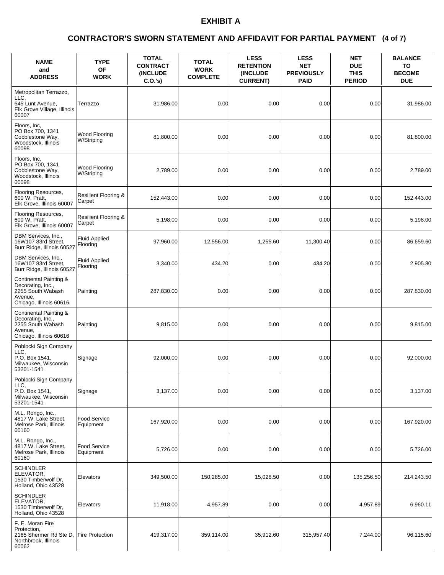### **(4 of 7) CONTRACTOR'S SWORN STATEMENT AND AFFIDAVIT FOR PARTIAL PAYMENT**

| <b>NAME</b><br>and<br><b>ADDRESS</b>                                                                   | <b>TYPE</b><br>OF<br><b>WORK</b>          | <b>TOTAL</b><br><b>CONTRACT</b><br><b>(INCLUDE)</b><br>C.O.'s) | <b>TOTAL</b><br><b>WORK</b><br><b>COMPLETE</b> | <b>LESS</b><br><b>RETENTION</b><br>(INCLUDE<br><b>CURRENT)</b> | <b>LESS</b><br><b>NET</b><br><b>PREVIOUSLY</b><br><b>PAID</b> | <b>NET</b><br><b>DUE</b><br><b>THIS</b><br><b>PERIOD</b> | <b>BALANCE</b><br>TO<br><b>BECOME</b><br><b>DUE</b> |
|--------------------------------------------------------------------------------------------------------|-------------------------------------------|----------------------------------------------------------------|------------------------------------------------|----------------------------------------------------------------|---------------------------------------------------------------|----------------------------------------------------------|-----------------------------------------------------|
| Metropolitan Terrazzo,<br>LLC,<br>645 Lunt Avenue.<br>Elk Grove Village, Illinois<br>60007             | Terrazzo                                  | 31,986.00                                                      | 0.00                                           | 0.00                                                           | 0.00                                                          | 0.00                                                     | 31,986.00                                           |
| Floors, Inc.<br>PO Box 700, 1341<br>Cobblestone Way,<br>Woodstock, Illinois<br>60098                   | Wood Flooring<br>W/Striping               | 81,800.00                                                      | 0.00                                           | 0.00                                                           | 0.00                                                          | 0.00                                                     | 81,800.00                                           |
| Floors, Inc,<br>PO Box 700, 1341<br>Cobblestone Way,<br>Woodstock, Illinois<br>60098                   | Wood Flooring<br>W/Striping               | 2,789.00                                                       | 0.00                                           | 0.00                                                           | 0.00                                                          | 0.00                                                     | 2,789.00                                            |
| Flooring Resources,<br>600 W. Pratt,<br>Elk Grove, Illinois 60007                                      | <b>Resilient Flooring &amp;</b><br>Carpet | 152,443.00                                                     | 0.00                                           | 0.00                                                           | 0.00                                                          | 0.00                                                     | 152,443.00                                          |
| Flooring Resources,<br>600 W. Pratt,<br>Elk Grove, Illinois 60007                                      | Resilient Flooring &<br>Carpet            | 5,198.00                                                       | 0.00                                           | 0.00                                                           | 0.00                                                          | 0.00                                                     | 5,198.00                                            |
| DBM Services, Inc.,<br>16W107 83rd Street.<br>Burr Ridge, Illinois 60527                               | <b>Fluid Applied</b><br>Flooring          | 97,960.00                                                      | 12,556.00                                      | 1,255.60                                                       | 11,300.40                                                     | 0.00                                                     | 86,659.60                                           |
| DBM Services, Inc.,<br>16W107 83rd Street,<br>Burr Ridge, Illinois 60527                               | <b>Fluid Applied</b><br>Flooring          | 3,340.00                                                       | 434.20                                         | 0.00                                                           | 434.20                                                        | 0.00                                                     | 2,905.80                                            |
| Continental Painting &<br>Decorating, Inc.,<br>2255 South Wabash<br>Avenue,<br>Chicago, Illinois 60616 | Painting                                  | 287,830.00                                                     | 0.00                                           | 0.00                                                           | 0.00                                                          | 0.00                                                     | 287,830.00                                          |
| Continental Painting &<br>Decorating, Inc.,<br>2255 South Wabash<br>Avenue.<br>Chicago, Illinois 60616 | Painting                                  | 9,815.00                                                       | 0.00                                           | 0.00                                                           | 0.00                                                          | 0.00                                                     | 9,815.00                                            |
| Poblocki Sign Company<br>LLC.<br>P.O. Box 1541,<br>Milwaukee, Wisconsin<br>53201-1541                  | Signage                                   | 92,000.00                                                      | 0.00                                           | 0.00                                                           | 0.00                                                          | 0.00                                                     | 92,000.00                                           |
| Poblocki Sign Company<br>LLC,<br>P.O. Box 1541,<br>Milwaukee, Wisconsin<br>53201-1541                  | Signage                                   | 3,137.00                                                       | 0.00                                           | 0.00                                                           | 0.00                                                          | 0.00                                                     | 3,137.00                                            |
| M.L. Rongo, Inc.,<br>4817 W. Lake Street,<br>Melrose Park, Illinois<br>60160                           | <b>Food Service</b><br>Equipment          | 167,920.00                                                     | 0.00                                           | 0.00                                                           | 0.00                                                          | 0.00                                                     | 167,920.00                                          |
| M.L. Rongo, Inc.,<br>4817 W. Lake Street,<br>Melrose Park, Illinois<br>60160                           | Food Service<br>Equipment                 | 5,726.00                                                       | 0.00                                           | 0.00                                                           | 0.00                                                          | 0.00                                                     | 5,726.00                                            |
| <b>SCHINDLER</b><br>ELEVATOR,<br>1530 Timberwolf Dr.<br>Holland, Ohio 43528                            | Elevators                                 | 349,500.00                                                     | 150,285.00                                     | 15,028.50                                                      | 0.00                                                          | 135,256.50                                               | 214,243.50                                          |
| SCHINDLER<br>ELEVATOR,<br>1530 Timberwolf Dr,<br>Holland, Ohio 43528                                   | Elevators                                 | 11,918.00                                                      | 4,957.89                                       | 0.00                                                           | 0.00                                                          | 4,957.89                                                 | 6,960.11                                            |
| F. E. Moran Fire<br>Protection,<br>2165 Shermer Rd Ste D,<br>Northbrook, Illinois<br>60062             | <b>Fire Protection</b>                    | 419,317.00                                                     | 359,114.00                                     | 35,912.60                                                      | 315,957.40                                                    | 7,244.00                                                 | 96,115.60                                           |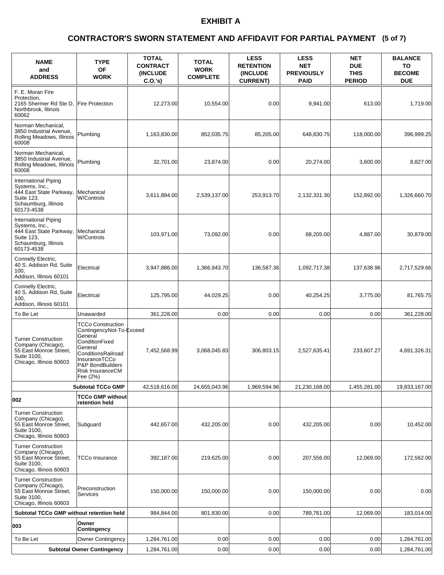### **(5 of 7) CONTRACTOR'S SWORN STATEMENT AND AFFIDAVIT FOR PARTIAL PAYMENT**

| <b>NAME</b><br>and<br><b>ADDRESS</b>                                                                                  | <b>TYPE</b><br><b>OF</b><br><b>WORK</b>                                                                                                                                                        | <b>TOTAL</b><br><b>CONTRACT</b><br><b>INCLUDE</b><br>C.O.'s | <b>TOTAL</b><br><b>WORK</b><br><b>COMPLETE</b> | <b>LESS</b><br><b>RETENTION</b><br>(INCLUDE<br><b>CURRENT)</b> | <b>LESS</b><br><b>NET</b><br><b>PREVIOUSLY</b><br><b>PAID</b> | <b>NET</b><br><b>DUE</b><br><b>THIS</b><br><b>PERIOD</b> | <b>BALANCE</b><br>ΤО<br><b>BECOME</b><br><b>DUE</b> |
|-----------------------------------------------------------------------------------------------------------------------|------------------------------------------------------------------------------------------------------------------------------------------------------------------------------------------------|-------------------------------------------------------------|------------------------------------------------|----------------------------------------------------------------|---------------------------------------------------------------|----------------------------------------------------------|-----------------------------------------------------|
| F. E. Moran Fire<br>Protection,<br>2165 Shermer Rd Ste D,<br>Northbrook, Illinois<br>60062                            | <b>Fire Protection</b>                                                                                                                                                                         | 12,273.00                                                   | 10,554.00                                      | 0.00                                                           | 9,941.00                                                      | 613.00                                                   | 1,719.00                                            |
| Norman Mechanical,<br>3850 Industrial Avenue,<br>Rolling Meadows, Illinois<br>60008                                   | Plumbing                                                                                                                                                                                       | 1,163,830.00                                                | 852,035.75                                     | 85,205.00                                                      | 648,830.75                                                    | 118,000.00                                               | 396,999.25                                          |
| Norman Mechanical.<br>3850 Industrial Avenue,<br>Rolling Meadows, Illinois<br>60008                                   | Plumbing                                                                                                                                                                                       | 32,701.00                                                   | 23,874.00                                      | 0.00                                                           | 20,274.00                                                     | 3,600.00                                                 | 8,827.00                                            |
| International Piping<br>Systems, Inc.,<br>444 East State Parkway,<br>Suite 123,<br>Schaumburg, Illinois<br>60173-4538 | Mechanical<br><b>W/Controls</b>                                                                                                                                                                | 3,611,884.00                                                | 2,539,137.00                                   | 253,913.70                                                     | 2,132,331.30                                                  | 152,892.00                                               | 1,326,660.70                                        |
| International Piping<br>Systems, Inc.,<br>444 East State Parkway,<br>Suite 123.<br>Schaumburg, Illinois<br>60173-4538 | Mechanical<br><b>W/Controls</b>                                                                                                                                                                | 103,971.00                                                  | 73,092.00                                      | 0.00                                                           | 68,205.00                                                     | 4,887.00                                                 | 30,879.00                                           |
| Connelly Electric,<br>40 S. Addison Rd, Suite<br>100<br>Addison, Illinois 60101                                       | Electrical                                                                                                                                                                                     | 3,947,886.00                                                | 1,366,943.70                                   | 136,587.36                                                     | 1,092,717.38                                                  | 137,638.96                                               | 2,717,529.66                                        |
| Connelly Electric,<br>40 S. Addison Rd, Suite<br>100<br>Addison, Illinois 60101                                       | Electrical                                                                                                                                                                                     | 125,795.00                                                  | 44,029.25                                      | 0.00                                                           | 40,254.25                                                     | 3,775.00                                                 | 81,765.75                                           |
| To Be Let                                                                                                             | Unawarded                                                                                                                                                                                      | 361,228.00                                                  | 0.00                                           | 0.00                                                           | 0.00                                                          | 0.00                                                     | 361,228.00                                          |
| <b>Turner Construction</b><br>Company (Chicago),<br>55 East Monroe Street,<br>Suite 3100,<br>Chicago, Illinois 60603  | <b>TCCo Construction</b><br>ContingencyNot-To-Exceed<br>General<br>ConditionFixed<br>General<br>ConditionsRailroad<br>InsuranceTCCo<br>P&P BondBuilders<br><b>Risk InsuranceCM</b><br>Fee (2%) | 7,452,568.99                                                | 3,068,045.83                                   | 306,803.15                                                     | 2,527,635.41                                                  | 233,607.27                                               | 4,691,326.31                                        |
|                                                                                                                       | <b>Subtotal TCCo GMP</b>                                                                                                                                                                       | 42,518,616.00                                               | 24,655,043.96                                  | 1,969,594.96                                                   | 21,230,168.00                                                 | 1,455,281.00                                             | 19,833,167.00                                       |
| 002                                                                                                                   | <b>TCCo GMP without</b><br>retention held                                                                                                                                                      |                                                             |                                                |                                                                |                                                               |                                                          |                                                     |
| <b>Turner Construction</b><br>Company (Chicago),<br>55 East Monroe Street,<br>Suite 3100,<br>Chicago, Illinois 60603  | Subguard                                                                                                                                                                                       | 442,657.00                                                  | 432,205.00                                     | 0.00                                                           | 432,205.00                                                    | 0.00                                                     | 10,452.00                                           |
| <b>Turner Construction</b><br>Company (Chicago),<br>55 East Monroe Street.<br>Suite 3100,<br>Chicago, Illinois 60603  | <b>TCCo Insurance</b>                                                                                                                                                                          | 392,187.00                                                  | 219,625.00                                     | 0.00                                                           | 207,556.00                                                    | 12,069.00                                                | 172,562.00                                          |
| <b>Turner Construction</b><br>Company (Chicago),<br>55 East Monroe Street,<br>Suite 3100,<br>Chicago, Illinois 60603  | Preconstruction<br>Services                                                                                                                                                                    | 150,000.00                                                  | 150,000.00                                     | 0.00                                                           | 150,000.00                                                    | 0.00                                                     | 0.00                                                |
| Subtotal TCCo GMP without retention held                                                                              |                                                                                                                                                                                                | 984,844.00                                                  | 801,830.00                                     | 0.00                                                           | 789,761.00                                                    | 12,069.00                                                | 183,014.00                                          |
| 003                                                                                                                   | Owner<br>Contingency                                                                                                                                                                           |                                                             |                                                |                                                                |                                                               |                                                          |                                                     |
| To Be Let                                                                                                             | Owner Contingency                                                                                                                                                                              | 1,284,761.00                                                | 0.00                                           | 0.00                                                           | 0.00                                                          | 0.00                                                     | 1,284,761.00                                        |
|                                                                                                                       | <b>Subtotal Owner Contingency</b>                                                                                                                                                              | 1,284,761.00                                                | 0.00                                           | 0.00                                                           | 0.00                                                          | 0.00                                                     | 1,284,761.00                                        |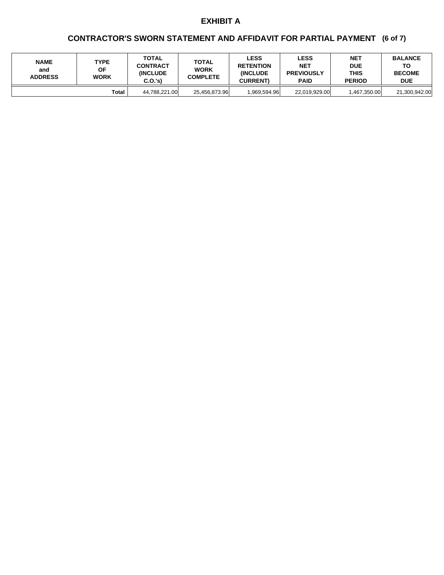## **(6 of 7) CONTRACTOR'S SWORN STATEMENT AND AFFIDAVIT FOR PARTIAL PAYMENT**

| <b>NAME</b><br>and<br><b>ADDRESS</b> | TYPE<br>ΟF<br><b>WORK</b> | TOTAL<br><b>CONTRACT</b><br><b>INCLUDE</b><br>C.O.'s | TOTAL<br><b>WORK</b><br><b>COMPLETE</b> | <b>LESS</b><br><b>RETENTION</b><br><b>INCLUDE</b><br><b>CURRENT)</b> | <b>LESS</b><br><b>NET</b><br><b>PREVIOUSLY</b><br><b>PAID</b> | <b>NET</b><br><b>DUE</b><br>THIS<br><b>PERIOD</b> | <b>BALANCE</b><br>ТΟ<br><b>BECOME</b><br><b>DUE</b> |
|--------------------------------------|---------------------------|------------------------------------------------------|-----------------------------------------|----------------------------------------------------------------------|---------------------------------------------------------------|---------------------------------------------------|-----------------------------------------------------|
|                                      | Total                     | 44,788,221.00                                        | 25,456,873.96                           | .969.594.96                                                          | 22,019,929.00                                                 | 1,467,350.00                                      | 21,300,942.00                                       |